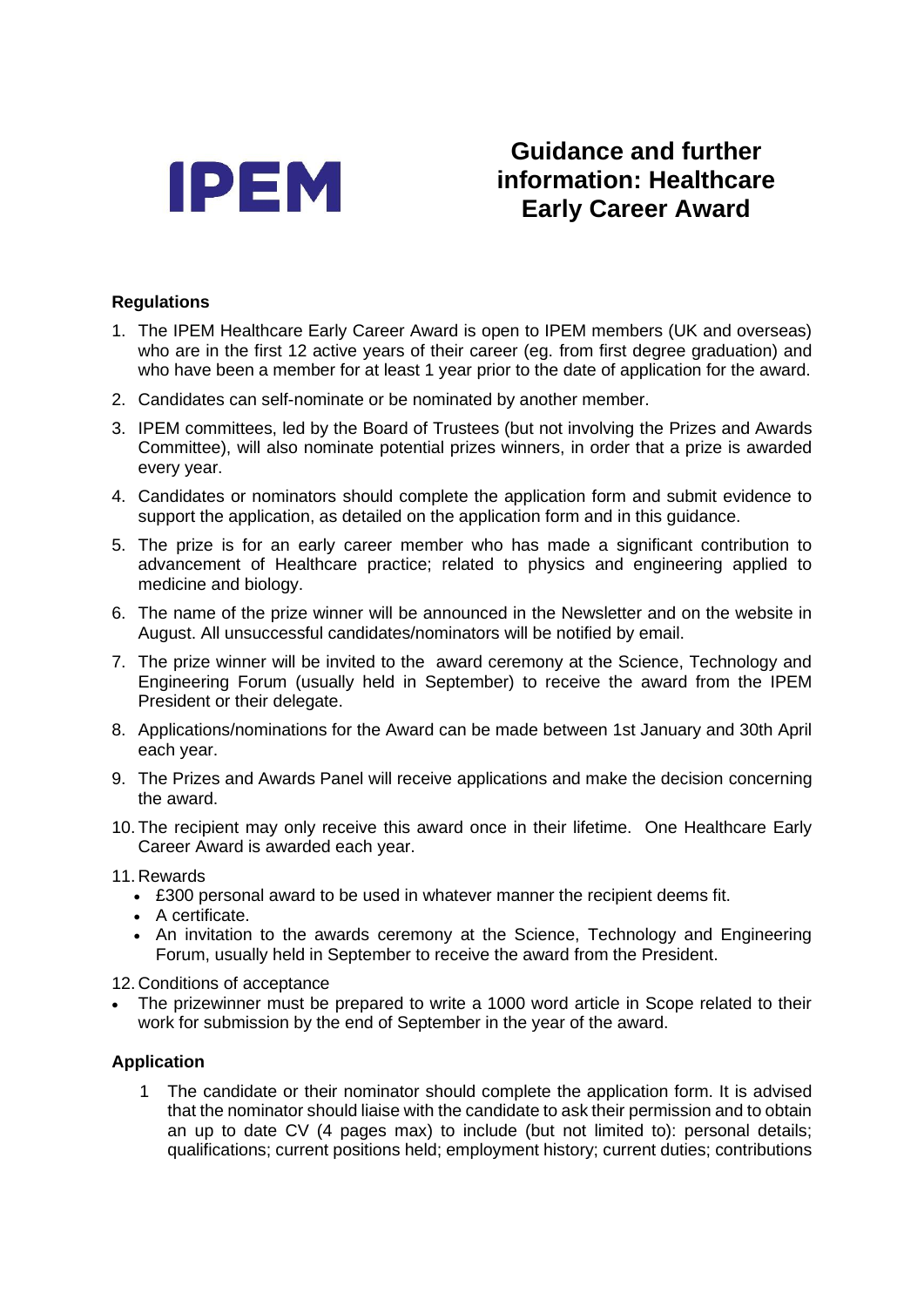

## **Guidance and further information: Healthcare Early Career Award**

## **Regulations**

- 1. The IPEM Healthcare Early Career Award is open to IPEM members (UK and overseas) who are in the first 12 active years of their career (eg. from first degree graduation) and who have been a member for at least 1 year prior to the date of application for the award.
- 2. Candidates can self-nominate or be nominated by another member.
- 3. IPEM committees, led by the Board of Trustees (but not involving the Prizes and Awards Committee), will also nominate potential prizes winners, in order that a prize is awarded every year.
- 4. Candidates or nominators should complete the application form and submit evidence to support the application, as detailed on the application form and in this guidance.
- 5. The prize is for an early career member who has made a significant contribution to advancement of Healthcare practice; related to physics and engineering applied to medicine and biology.
- 6. The name of the prize winner will be announced in the Newsletter and on the website in August. All unsuccessful candidates/nominators will be notified by email.
- 7. The prize winner will be invited to the award ceremony at the Science, Technology and Engineering Forum (usually held in September) to receive the award from the IPEM President or their delegate.
- 8. Applications/nominations for the Award can be made between 1st January and 30th April each year.
- 9. The Prizes and Awards Panel will receive applications and make the decision concerning the award.
- 10. The recipient may only receive this award once in their lifetime. One Healthcare Early Career Award is awarded each year.
- 11. Rewards
	- £300 personal award to be used in whatever manner the recipient deems fit.
	- A certificate.
	- An invitation to the awards ceremony at the Science, Technology and Engineering Forum, usually held in September to receive the award from the President.

12. Conditions of acceptance

The prizewinner must be prepared to write a 1000 word article in Scope related to their work for submission by the end of September in the year of the award.

## **Application**

1 The candidate or their nominator should complete the application form. It is advised that the nominator should liaise with the candidate to ask their permission and to obtain an up to date CV (4 pages max) to include (but not limited to): personal details; qualifications; current positions held; employment history; current duties; contributions